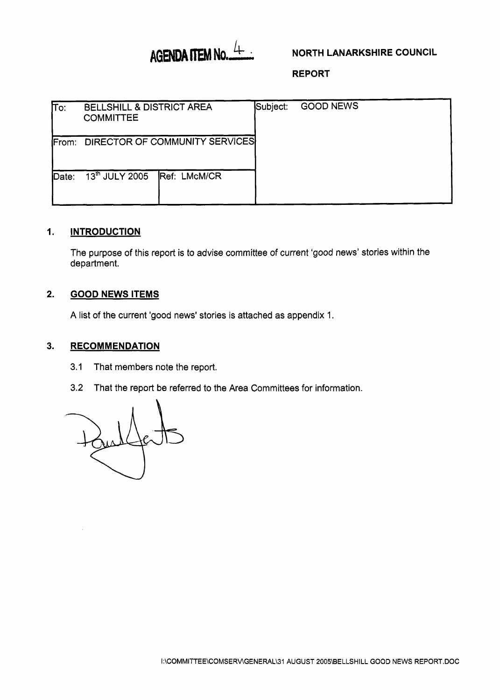# **AGENDA ITEM No.** 4

**NORTH LANARKSHIRE COUNCIL** 

**REPORT** 

| hτο:          | <b>BELLSHILL &amp; DISTRICT AREA</b><br><b>COMMITTEE</b> |  | Subject: | <b>GOOD NEWS</b> |  |
|---------------|----------------------------------------------------------|--|----------|------------------|--|
| <b>IFrom:</b> | DIRECTOR OF COMMUNITY SERVICES                           |  |          |                  |  |
| Date:         | 13th JULY 2005 Ref: LMcM/CR                              |  |          |                  |  |

# **1. INTRODUCTION**

The purpose *of* this report is to advise committee *of* current 'good news' stories within the department.

# **2. GOOD NEWS ITEMS**

A list of the current 'good news' stories is attached as appendix **1.** 

# **3. RECOMMENDATION**

- **3.1** That members note the report.
- **3.2** That the report be referred to the Area Committees for information.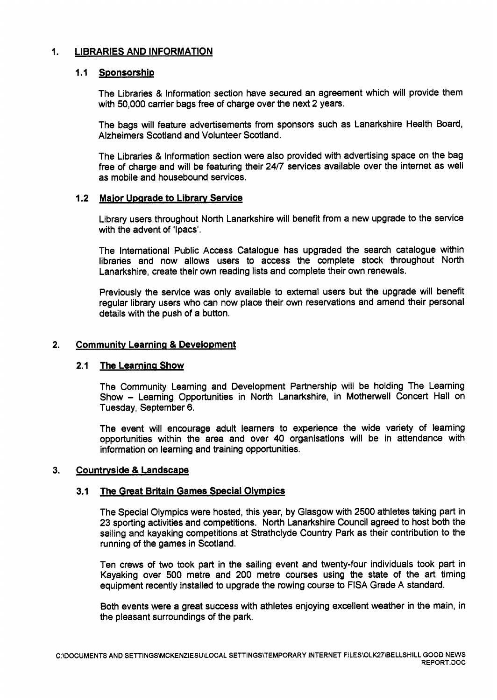#### **1. LIBRARIES AND INFORMATION**

### **1.1 Sponsorship**

The Libraries & Information section have secured an agreement which will provide them with 50,000 carrier bags free of charge over the next **2** years.

The bags will feature advertisements from sponsors such as Lanarkshire Health Board, Alzheimers Scotland and Volunteer Scotland.

The Libraries & Information section were also provided with advertising space on the bag free of charge and will be featuring their **24/7** services available over the internet as well as mobile and housebound services.

### **1.2 Major Uparade to Library Service**

Library users throughout North Lanarkshire will benefit from a new upgrade to the service with the advent of 'Ipacs'.

The International Public Access Catalogue has upgraded the search catalogue within libraries and now allows users to access the complete stock throughout North Lanarkshire, create their own reading lists and complete their own renewals.

Previously the service was only available to external users but the upgrade will benefit regular library users who can now place their own reservations and amend their personal details with the push of a button.

#### **2. Community Learnina** & **Development**

# **2.1 The Learning Show**

The Community Learning and Development Partnership will be holding The Learning Show - Learning Opportunities in North Lanarkshire, in Motherwell Concert Hall on Tuesday, September 6.

The event will encourage adult learners to experience the wide variety of learning opportunities within the area and over **40** organisations will be in attendance with information on learning and training opportunities.

#### **3. Countryside** & **Landscape**

# **3.1 The Great Britain Games Special Olympics**

The Special Olympics were hosted, this year, by Glasgow with **2500** athletes taking part in 23 sporting activities and competitions. North Lanarkshire Council agreed to host both the sailing and kayaking competitions at Strathclyde Country Park as their contribution to the running of the games in Scotland.

Ten crews of two took part in the sailing event and twenty-four individuals took part in Kayaking over 500 metre and 200 metre courses using the state of the art timing equipment recently installed to upgrade the rowing course to FlSA Grade A standard.

Both events were a great success with athletes enjoying excellent weather in the main, in the pleasant surroundings of the park.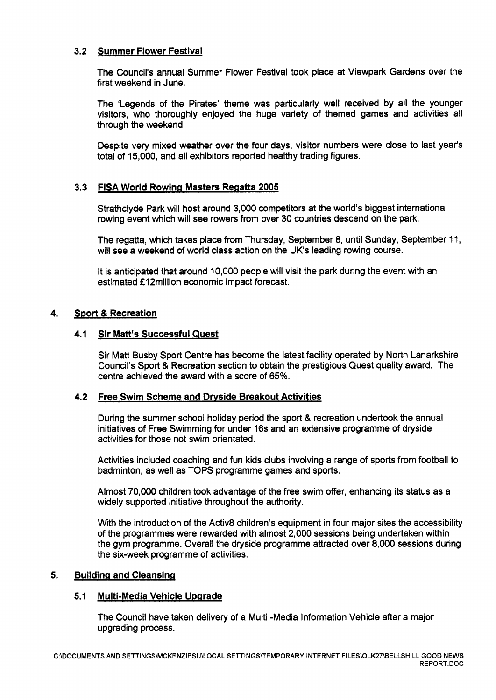### 3.2 Summer Flower Festival

The Council's annual Summer Flower Festival took place at Viewpark Gardens over the first weekend in June.

The 'Legends of the Pirates' theme was particularly well received by all the younger visitors, who thoroughly enjoyed the huge variety of themed games and activities all through the weekend.

Despite very mixed weather over the four days, visitor numbers were dose to last year's total of 15,000, and all exhibitors reported healthy trading figures.

### **3.3 FISA World Rowing Masters Regatta 2005**

Strathclyde Park will host around 3,000 competitors at the world's biggest international rowing event which will see rowers from over 30 countries descend on the park.

The regatta, which takes place from Thursday, September 8, until Sunday, September 11, will see a weekend of world class action on the UK's leading rowing course.

It is anticipated that around 10,000 people will visit the park during the event with an estimated £12million economic impact forecast.

### **4.** Sport & Recreation

### **4.1** Sir Matt's Successful Quest

Sir Matt Busby Sport Centre has become the latest facility operated by North Lanarkshire Council's Sport & Recreation section to obtain the prestigious Quest quality award. The centre achieved the award with a score of 65%.

#### **4.2** Free Swim Scheme and Drvside Breakout Activities

During the summer school holiday period the sport & recreation undertook the annual initiatives of Free Swimming for under 16s and an extensive programme of dryside activities for those not swim orientated.

Activities included coaching and fun kids clubs involving a range of sports from football to badminton, as well as TOPS programme games and sports.

Almost 70,000 children took advantage of the free swim offer, enhancing its status as a widely supported initiative throughout the authority.

With the introduction of the Activ8 children's equipment in four major sites the accessibility of the programmes were rewarded with almost 2,000 sessions being undertaken within the gym programme. Overall the dryside programme attracted over 8,000 sessions during the six-week programme of activities.

#### 5. Building and Cleansing

#### **5.1 Multi-Media Vehicle Upgrade**

The Council have taken delivery of a Multi -Media Information Vehicle after a major upgrading process.